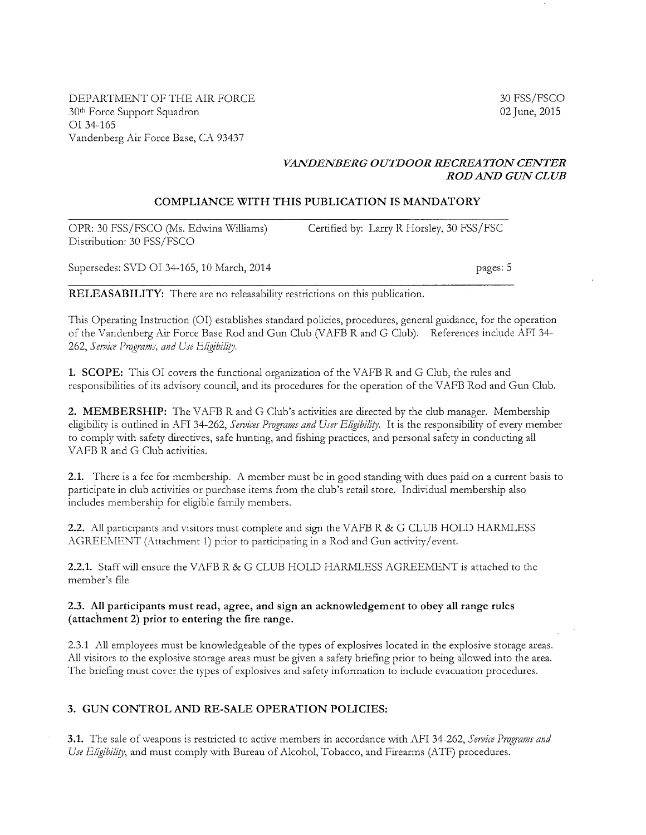DEPARTMENT OF THE AIR FORCE 30th Force Support Squadron or 34-165 Vandenberg Air Force Base, CA 93437

30 FSS/FSCO 02 June, 2015

## *VANDENBERG OUTDOOR RECREATION CENTER ROD AND GUN CLUB*

### **COMPLIANCE WITH THIS PUBLICATION IS MANDATORY**

OPR: 30 FSS/FSCO (Ms. Edwina Williams) Distribution: 30 FSS/FSCO Certified by: Larry R Horsley, 30 FSS/FSC

Supersedes: SVD OI 34-165, 10 March, 2014 **pages: 5** 

**RELEASABILITY:** There are no releasability restrictions on this publication.

This Operating Instruction (OI) establishes standard policies, procedures, general guidance, for the operation of the Vandenberg Air Force Base Rod and Gun Club (VAFB Rand G Club). References include AFI 34- 262, Service Programs, and Use Eligibility.

**1. SCOPE:** This OI covers the functional organization of the VAFB R and G Club, the rules and responsibilities of its advisory council, and its procedures for the operation of the V AFB Rod and Gun Club.

2. MEMBERSHIP: The VAFB R and G Club's activities are directed by the club manager. Membership eligibility is outlined in AFI 34-262, *Services Programs and User Eligibility*. It is the responsibility of every member to comply with safety directives, safe hunting, and fishing practices, and personal safety in conducting all VAFB R and G Club activities.

**2.1.** There is a fee for membership. A member must be in good standing with dues paid on a current basis to participate in club activities or purchase items from the club's retail store. Individual membership also includes membership for eligible family members.

2.2. All participants and visitors must complete and sign the VAFB R & G CLUB HOLD HARMLESS AGREEMENT (Attachment 1) prior to participating in a Rod and Gun activity/ event.

**2.2.1.** Staff will ensure the VAFB R & G CLUB HOLD HARMLESS AGREEMENT is attached to the member's file

### **2.3. All participants must read, agree, and sign an acknowledgement to obey all range rules (attachment 2) prior to entering the fire range.**

2.3.1 All employees must be knowledgeable of the types of explosives located in the explosive storage areas. All visitors to the explosive storage areas must be given a safety briefing prior to being allowed into the area. The briefing must cover the types of explosives and safety information to include evacuation procedures.

### **3. GUN CONTROL AND RE-SALE OPERATION POLICIES:**

**3.1.** The sale of weapons is restricted to active members in accordance with AFI 34-262, *Service Programs and* Use Eligibility, and must comply with Bureau of Alcohol, Tobacco, and Firearms (ATF) procedures.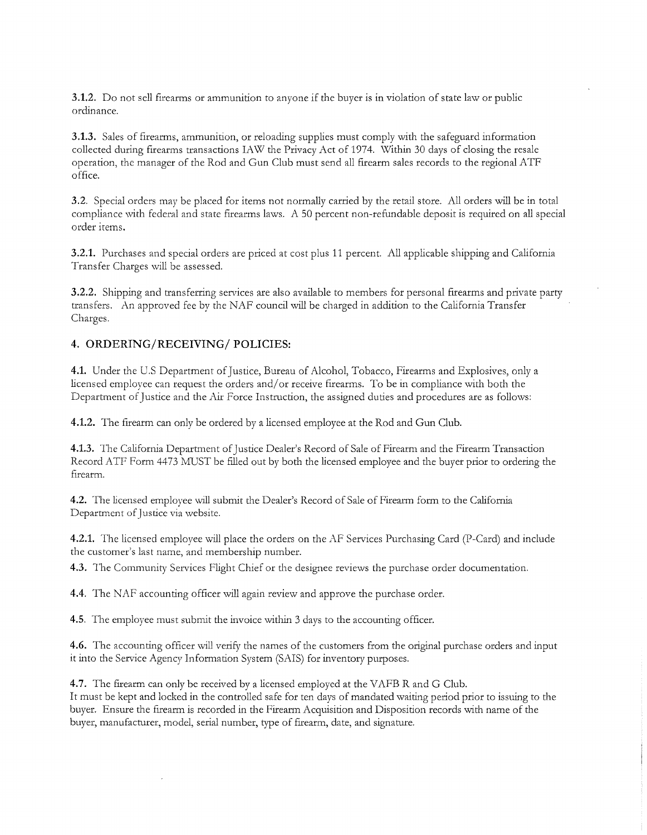**3.1.2.** Do not sell firearms or ammunition to anyone if the buyer is in violation of state law or public ordinance.

**3.1.3.** Sales of firearms, ammunition, or reloading supplies must comply with the safeguard information collected during firearms transactions IAW the Privacy Act of 1974. Within 30 days of closing the resale operation, the manager of the Rod and Gun Club must send all firearm sales records to the regional ATF office.

**3.2.** Special orders may be placed for items not normally carried by the retail store. All orders will be in total compliance with federal and state firearms laws. A 50 percent non-refundable deposit is required on all special order items.

**3.2.1.** Purchases and special orders are priced at cost plus 11 percent. All applicable shipping and California Transfer Charges will be assessed.

**3.2.2.** Shipping and transferring services are also available to members for personal firearms and private party transfers. An approved fee by the NAF council will be charged in addition to the California Transfer Charges.

### **4. ORDERING/RECEIVING/ POLICIES:**

**4.1.** Under the U.S Department of Justice, Bureau of Alcohol, Tobacco, Firearms and Explosives, only a licensed employee can request the orders and/ or receive firearms. To be in compliance with both the Department of Justice and the Air Force Instruction, the assigned duties and procedures are as follows:

**4.1.2.** The firearm can only be ordered by a licensed employee at the Rod and Gun Club.

**4.1.3.** The California Department of Justice Dealer's Record of Sale of Firearm and the Firearm Transaction Record ATF Form 4473 MUST be filled out by both the licensed employee and the buyer prior to ordering the firearm.

**4.2.** The licensed employee will submit the Dealer's Record of Sale of Firearm form to the California Department of Justice via website.

**4.2.1.** The licensed employee will place the orders on the AF Services Purchasing Card (P-Card) and include the customer's last name, and membership number.

**4.3.** The Community Services Flight Chief or the designee reviews the purchase order documentation.

**4.4.** The NAF accounting officer will again review and approve the purchase order.

**4.5.** The employee must submit the invoice within 3 days to the accounting officer.

**4.6.** The accounting officer will verify the names of the customers from the original purchase orders and input it into the Service Agency Information System (SAIS) for inventory purposes.

**4.7.** The firearm can only be received by a licensed employed at the VAFB R and G Club. It must be kept and locked in the controlled safe for ten days of mandated waiting period prior to issuing to the buyer. Ensure the firearm is recorded in the Firearm Acquisition and Disposition records with name of the buyer, manufacturer, model, serial number, type of firearm, date, and signature.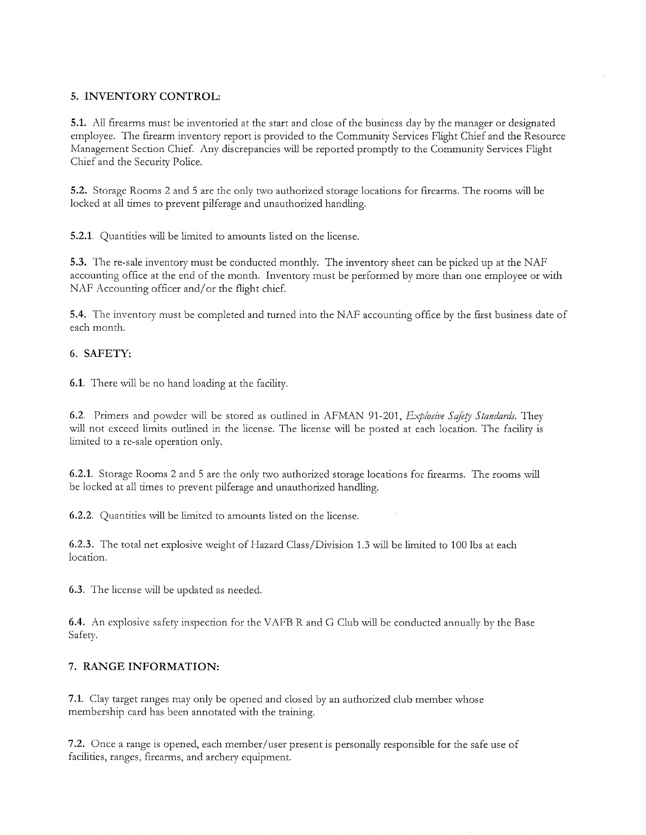## **5. INVENTORY CONTROL:**

**5.1.** All firearms must be inventoried at the start and close of the business day by the manager or designated employee. The firearm inventory report is provided to the Community Services Flight Chief and the Resource Management Section Chief. Any discrepancies will be reported promptly to the Community Services Flight Chief and the Security Police.

5.2. Storage Rooms 2 and 5 are the only two authorized storage locations for firearms. The rooms will be locked at all times to prevent pilferage and unauthorized handling.

**5.2.1.** Quantities will be limited to amounts listed on the license.

**5.3.** The re-sale inventory must be conducted monthly. The inventory sheet can be picked up at the NAF accounting office at the end of the month. Inventory must be performed by more than one employee or with NAF Accounting officer and/or the flight chief.

**5.4.** The inventory must be completed and turned into the NAF accounting office by the first business date of each month.

### **6. SAFETY:**

**6.1.** There will be no hand loading at the facility.

6.2. Primers and powder will be stored as outlined in AFMAN 91-201, *Explosive Safety Standards*. They will not exceed limits outlined in the license. The license will be posted at each location. The facility is limited to a re-sale operation only.

**6.2.1.** Storage Rooms 2 and 5 are the only two authorized storage locations for firearms. The rooms will be locked at all times to prevent pilferage and unauthorized handling.

**6.2.2.** Quantities will be limited to amounts listed on the license.

**6.2.3.** The total net explosive weight of Hazard Class/Division 1.3 will be limited to 100 lbs at each location.

**6.3.** The license will be updated as needed.

**6.4.** An explosive safety inspection for the VAFB R and G Club will be conducted annually by the Base Safety.

### **7. RANGE INFORMATION:**

**7 .1.** Clay target ranges may only be opened and closed by an authorized club member whose membership card has been annotated with the training.

7 .2. Once a range is opened, each member/user present is personally responsible for the safe use of facilities, ranges, firearms, and archery equipment.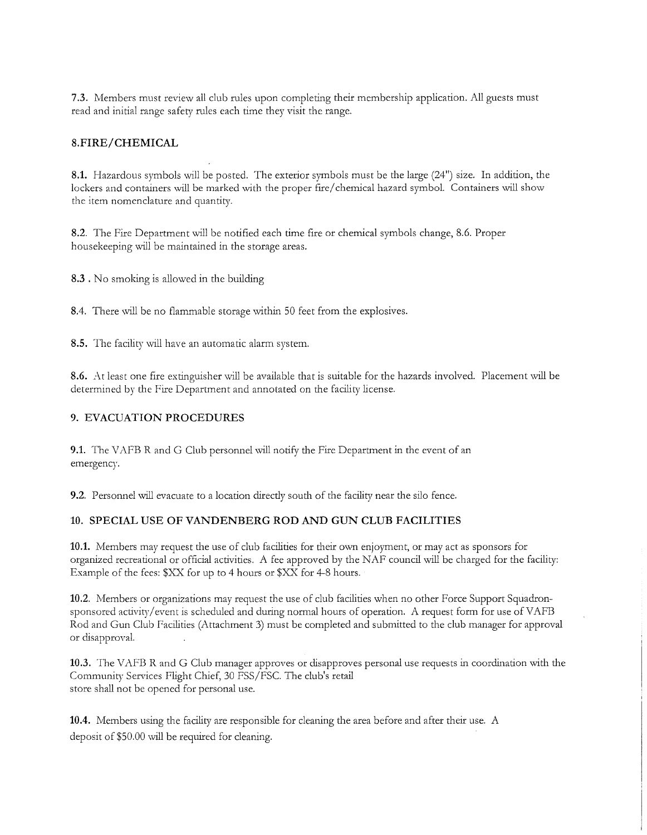**7.3.** Members must review all club rules upon completing their membership application. All guests must read and initial range safety rules each time they visit the range.

### **8.FIRE/ CHEMICAL**

**8.1.** Hazardous symbols will be posted. The exterior symbols must be the large (24") size. In addition, the lockers and containers will be marked with the proper fire/ chemical hazard symbol. Containers will show the item nomenclature and quantity.

**8.2.** The Fire Department will be notified each time fire or chemical symbols change, 8.6. Proper housekeeping will be maintained in the storage areas.

**8.3** . No smoking is allowed in the building

8.4. There will be no flammable storage within 50 feet from the explosives.

**8.5.** The facility will have an automatic alarm system.

**8.6.** At least one fire extinguisher will be available that is suitable for the hazards involved. Placement will be determined by the Fire Department and annotated on the facility license.

### **9. EVACUATION PROCEDURES**

**9.1.** The VAFB R and G Club personnel will notify the Fire Department in the event of an emergency.

**9.2.** Personnel will evacuate to a location directly south of the facility near the silo fence.

#### **10. SPECIAL USE OF VANDENBERG ROD AND GUN CLUB FACILITIES**

**10.1.** Members may request the use of club facilities for their own enjoyment, or may act as sponsors for organized recreational or official activities. A fee approved by the NAF council will be charged for the facility: Example of the fees: \$XX for up to 4 hours or \$XX for 4-8 hours.

**10.2.** Members or organizations may request the use of club facilities when no other Force Support Squadronsponsored activity/ event is scheduled and during normal hours of operation. A request form for use of VAFB Rod and Gun Club Facilities (Attachment 3) must be completed and submitted to the club manager for approval or disapproval.

**10.3.** The VAFB R and G Club manager approves or disapproves personal use requests in coordination with the Community Services Flight Chief, 30 FSS/FSC. The club's retail store shall not be opened for personal use.

**10.4.** Members using the facility are responsible for cleaning the area before and after their use. A deposit of \$50.00 will be required for cleaning.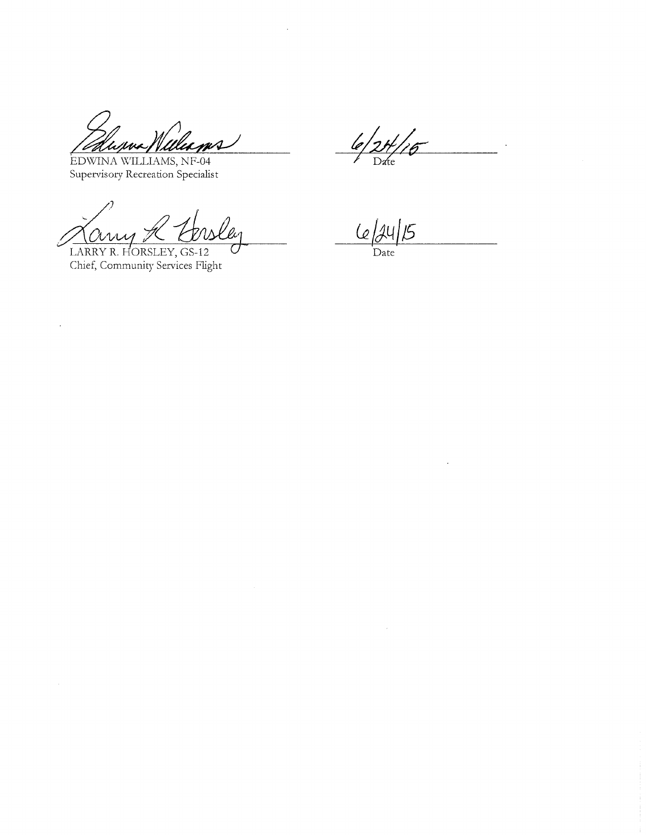ums Were

EDWINA WILLIAMS, NF-04 Supervisory Recreation Specialist

*A Curry A Chiele*<br>LARRY R. HORSLEY, GS-12

 $\mathcal{L}$ 

6  $D$ *d*te

 $6/24$  $\overline{5}$ 

Date

 $\bar{x}$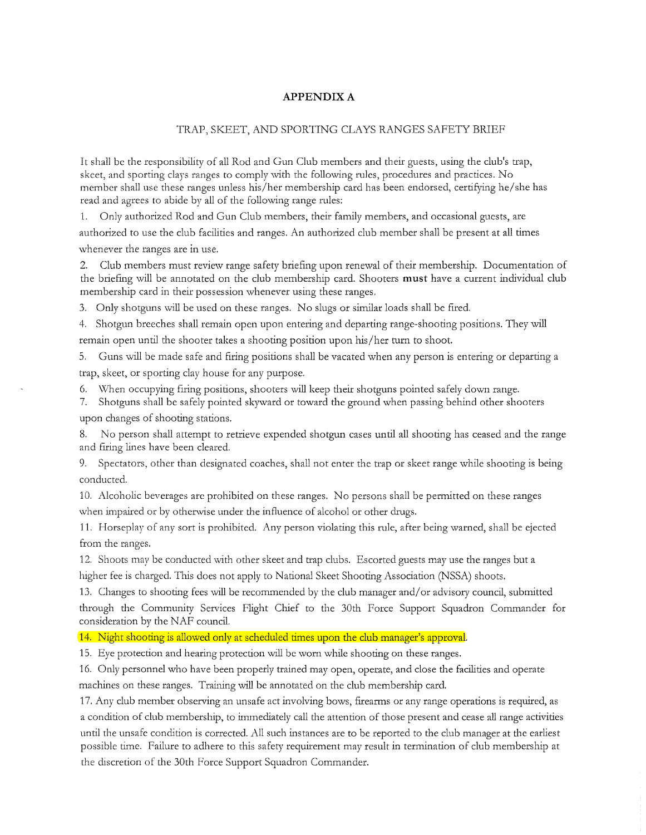### **APPENDIX A**

#### TRAP, SKEET, AND SPORTING CLAYS RANGES SAFETY BRIEF

It shall be the responsibility of all Rod and Gun Club members and their guests, using the club's trap, skeet, and sporting clays ranges to comply with the following rules, procedures and practices. No member shall use these ranges unless his/her membership card has been endorsed, certifying he/she has read and agrees to abide by all of the following range rules:

1. Only authorized Rod and Gun Club members, their family members, and occasional guests, are authorized to use the club facilities and ranges. An authorized club member shall be present at all times whenever the ranges are in use.

2. Club members must review range safety briefing upon renewal of their membership. Documentation of the briefing will be annotated on the club membership card. Shooters **must** have a current individual club membership card in their possession whenever using these ranges.

3. Only shotguns will be used on these ranges. No slugs or similar loads shall be fired.

4. Shotgun breeches shall remain open upon entering and departing range-shooting positions. They will remain open until the shooter takes a shooting position upon his/her turn to shoot.

5. Guns will be made safe and firing positions shall be vacated when any person is entering or departing a trap, skeet, or sporting clay house for any purpose.

When occupying firing positions, shooters will keep their shotguns pointed safely down range.

7. Shotguns shall be safely pointed skyward or toward the ground when passing behind other shooters upon changes of shooting stations.

No person shall attempt to retrieve expended shotgun cases until all shooting has ceased and the range and firing lines have been cleared.

9. Spectators, other than designated coaches, shall not enter the trap or skeet range while shooting is being conducted.

10. Alcoholic beverages are prohibited on these ranges. No persons shall be permitted on these ranges when impaired or by otherwise under the influence of alcohol or other drugs.

11. Horseplay of any sort is prohibited. Any person violating this rule, after being warned, shall be ejected from the ranges.

12. Shoots may be conducted with other skeet and trap clubs. Escorted guests may use the ranges but a higher fee is charged. This does not apply to National Skeet Shooting Association (NSSA) shoots.

13. Changes to shooting fees will be recommended by the club manager and/ or advisory council, submitted through the Community Services Flight Chief to the 30th Force Support Squadron Commander for consideration by the NAF council.

14. Night shooting is allowed only at scheduled times upon the club manager's approval.

15. Eye protection and hearing protection will be worn while shooting on these ranges.

16. Only personnel who have been properly trained may open, operate, and close the facilities and operate machines on these ranges. Training will be annotated on the club membership card.

17. Any club member observing an unsafe act involving bows, firearms or any range operations is required, as a condition of club membership, to immediately call the attention of those present and cease all range activities until the unsafe condition is corrected. All such instances are to be reported to the club manager at the earliest possible time. Failure to adhere to this safety requirement may result in termination of club membership at the discretion of the 30th Force Support Squadron Commander.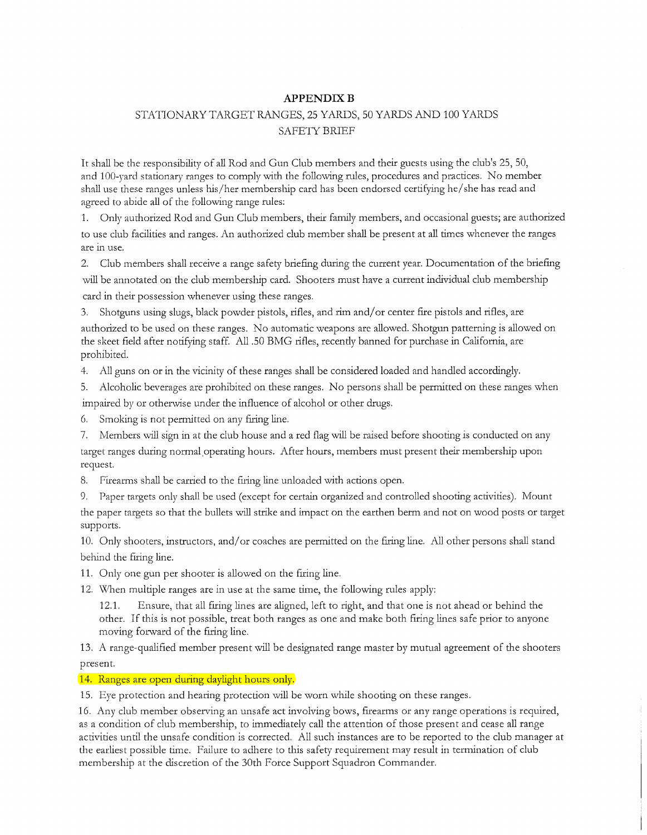### **APPENDIXB**

# STATIONARY TARGET RANGES, 25 YARDS, 50 YARDS AND 100 YARDS SAFETY BRIEF

It shall be the responsibility of all Rod and Gun Club members and their guests using the club's 25, 50, and 100-yard stationary ranges to comply with the following rules, procedures and practices. No member shall use these ranges unless his/her membership card has been endorsed certifying he/ she has read and agreed to abide all of the following range rules:

1. Only authorized Rod and Gun Club members, their family members, and occasional guests; are authorized to use club facilities and ranges. An authorized club member shall be present at all times whenever the ranges are in use.

2. Club members shall receive a range safety briefing during the current year. Documentation of the briefing will be annotated on the club membership card. Shooters must have a current individual club membership card in their possession whenever using these ranges.

3. Shotguns using slugs, black powder pistols, rifles, and rim and/ or center fire pistols and rifles, are authorized to be used on these ranges. No automatic weapons are allowed. Shotgun patterning is allowed on the skeet field after notifying staff. All .50 BMG rifles, recently banned for purchase in California, are prohibited.

4. All guns on or in the vicinity of these ranges shall be considered loaded and handled accordingly.

5. Alcoholic beverages are prohibited on these ranges. No persons shall be permitted on these ranges when impaired by or otherwise under the influence of alcohol or other drugs.

- 6. Smoking is not permitted on any firing line.
- 7. Members will sign in at the club house and a red flag will be raised before shooting is conducted on any target ranges during normal operating hours. After hours, members must present their membership upon request.
- 8. Firearms shall be carried to the firing line unloaded with actions open.
- 9. Paper targets only shall be used (except for certain organized and controlled shooting activities). Mount the paper targets so that the bullets will strike and impact on the earthen berm and not on wood posts or target supports.

10. Only shooters, instructors, and/ or coaches are permitted on the firing line. All other persons shall stand behind the firing line.

- 11. Only one gun per shooter is allowed on the firing line.
- 12. \Xlhen multiple ranges are in use at the same time, the following rules apply:

12.1. Ensure, that all firing lines are aligned, left to right, and that one is not ahead or behind the other. If this is not possible, treat both ranges as one and make both firing lines safe prior to anyone moving forward of the firing line.

13. A range-qualified member present will be designated range master by mutual agreement of the shooters present.

#### 14. Ranges are open during daylight hours only.

15. *Eye* protection and hearing protection will be worn while shooting on these ranges.

16. Any club member observing an unsafe act involving bows, firearms or any range operations is required, as a condition of club membership, to immediately call the attention of those present and cease all range activities until the unsafe condition is corrected. All such instances are to be reported to the club manager at the earliest possible time. Failure to adhere to this safety requirement may result in termination of club membership at the discretion of the 30th Force Support Squadron Commander.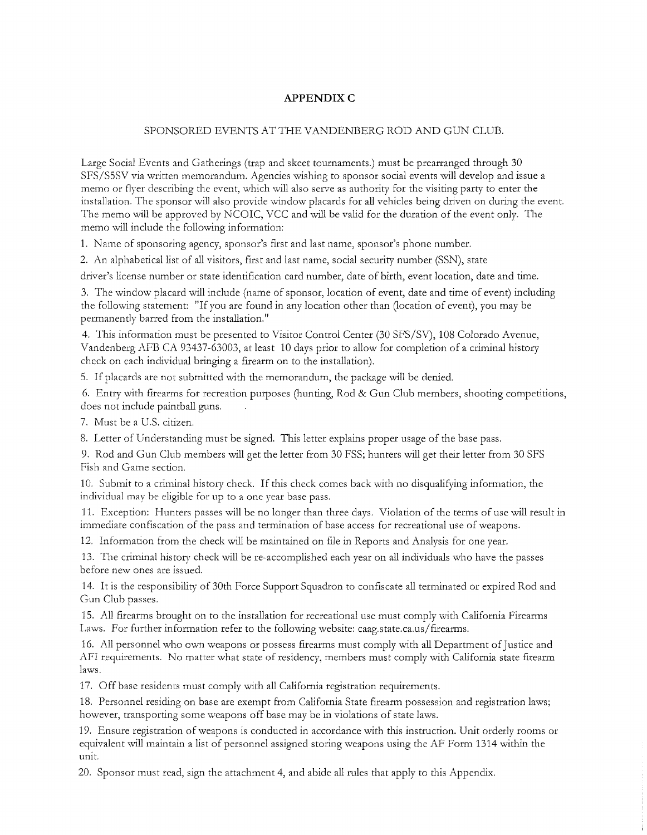## **APPENDIXC**

#### SPONSORED EVENTS AT THE VANDENBERG ROD AND GUN CLUB.

Large Social Events and Gatherings (trap and skeet tournaments.) must be prearranged through 30 SFS/S5SV via written memorandum. Agencies wishing to sponsor social events will develop and issue a memo or flyer describing the event, which will also serve as authority for the visiting party to enter the installation. The sponsor will also provide window placards for all vehicles being driven on during the event. The memo will be approved by NCOIC, VCC and will be valid for the duration of the event only. The memo will include the following information:

1. Name of sponsoring agency, sponsor's first and last name, sponsor's phone number.

2. An alphabetical list of all visitors, first and last name, social security number (SSN), state

driver's license number or state identification card number, date of birth, event location, date and time.

3. The window placard will include (name of sponsor, location of event, date and time of event) including the following statement: "If you are found in any location other than (location of event), you may be permanently barred from the installation."

4. This information must be presented to Visitor Control Center (30 SFS/SV), 108 Colorado Avenue, Vandenberg AFB CA 93437-63003, at least 10 days prior to allow for completion of a criminal history check on each individual bringing a firearm on to the installation).

5. If placards are not submitted with the memorandum, the package will be denied.

6. Entry with firearms for recreation putposes (hunting, Rod & Gun Club members, shooting competitions, does not include paintball guns.

7. Must be a U.S. citizen.

8. Letter of Understanding must be signed. This letter explains proper usage of the base pass.

9. Rod and Gun Club members will get the letter from 30 FSS; hunters will get their letter from 30 SFS Fish and Game section.

10. Submit to a criminal history check. If this check comes back with no disqualifying information, the individual may be eligible for up to a one year base pass.

11. Exception: Hunters passes will be no longer than three days. Violation of the terms of use will result in immediate confiscation of the pass and termination of base access for recreational use of weapons.

12. Information from the check will be maintained on file in Reports and Analysis for one year.

13. The criminal history check will be re-accomplished each year on all individuals who have the passes before new ones are issued.

14. It is the responsibility of 30th Force Support Squadron to confiscate all terminated or expired Rod and Gun Club passes.

15. All firearms brought on to the installation for recreational use must comply with California Firearms Laws. For further information refer to the following website: caag.state.ca.us/firearms.

16. All personnel who own weapons or possess firearms must comply with all Department of Justice and AFI requirements. No matter what state of residency, members must comply with California state firearm laws.

17. Off base residents must comply with all California registration requirements.

18. Personnel residing on base are exempt from California State firearm possession and registration laws; however, transporting some weapons off base may be in violations of state laws.

19. Ensure registration of weapons is conducted in accordance with this instruction. Unit orderly rooms or equivalent will maintain a list of personnel assigned storing weapons using the AF Form 1314 within the unit.

20. Sponsor must read, sign the attachment 4, and abide all rules that apply to this Appendix.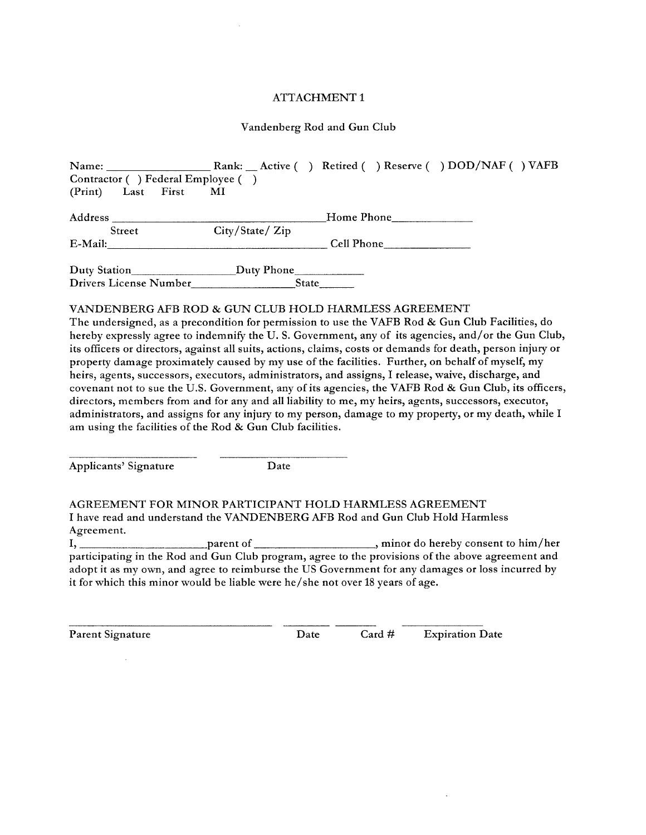#### Vandenberg Rod and Gun Club

| Contractor ( ) Federal Employee ( )                                              |                |  |            |  |
|----------------------------------------------------------------------------------|----------------|--|------------|--|
| (Print) Last First                                                               | <b>MI</b>      |  |            |  |
|                                                                                  |                |  | Home Phone |  |
| <b>Street</b>                                                                    | City/State/Zip |  |            |  |
|                                                                                  |                |  |            |  |
| $E-Mail:$                                                                        |                |  | Cell Phone |  |
| Duty Station_________________________________Duty Phone_________________________ |                |  |            |  |
| Drivers License Number State                                                     |                |  |            |  |
|                                                                                  |                |  |            |  |
| VANDENBERG AFB ROD & GUN CLUB HOLD HARMLESS AGREEMENT                            |                |  |            |  |

The undersigned, as a precondition for permission to use the VAFB Rod & Gun Club Facilities, do hereby expressly agree to indemnify the U.S. Government, any of its agencies, and/or the Gun Club, its officers or directors, against all suits, actions, claims, costs or demands for death, person injury or property damage proximately caused by my use of the facilities. Further, on behalf of myself, my heirs, agents, successors, executors, administrators, and assigns, I release, waive, discharge, and covenant not to sue the U.S. Government, any of its agencies, the VAFB Rod & Gun Club, its officers, directors, members from and for any and all liability to me, my heirs, agents, successors, executor, administrators, and assigns for any injury to my person, damage to my property, or my death, while I am using the facilities of the Rod & Gun Club facilities.

Applicants' Signature Date

AGREEMENT FOR MINOR PARTICIPANT HOLD HARMLESS AGREEMENT I have read and understand the VANDENBERG AFB Rod and Gun Club Hold Harmless Agreement.

I, parent of , minor do hereby consent to him/her participating in the Rod and Gun Club program, agree to the provisions of the above agreement and adopt it as my own, and agree to reimburse the US Government for any damages or loss incurred by it for which this minor would be liable were he/ she not over 18 years of age.

Parent Signature **Date** Card # Expiration Date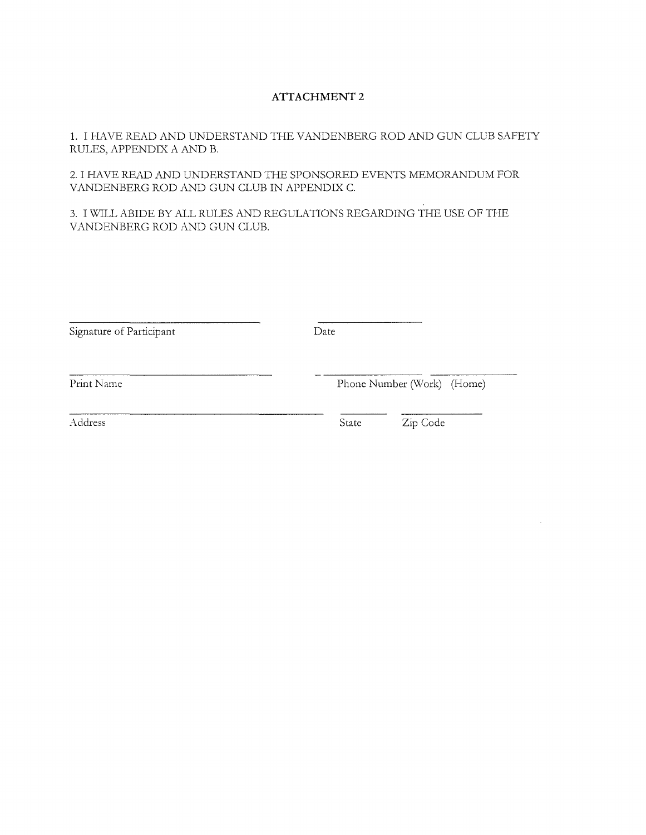1. I HA VE READ AND UNDERSTAND THE VANDENBERG ROD AND GUN CLUB SAFETY RULES, APPENDIX A AND B.

2. I HAVE READ AND UNDERSTAND THE SPONSORED EVENTS MEMORANDUM FOR VANDENBERG ROD AND GUN CLUB IN APPENDIX C.

3. I \'V'ILL ABIDE BY ALL RULES AND REGULATIONS REGARDING THE USE OF THE VANDENBERG ROD AND GUN CLUB.

| Signature of Participant | Date                       |          |  |
|--------------------------|----------------------------|----------|--|
| Print Name               | Phone Number (Work) (Home) |          |  |
| Address                  | State                      | Zip Code |  |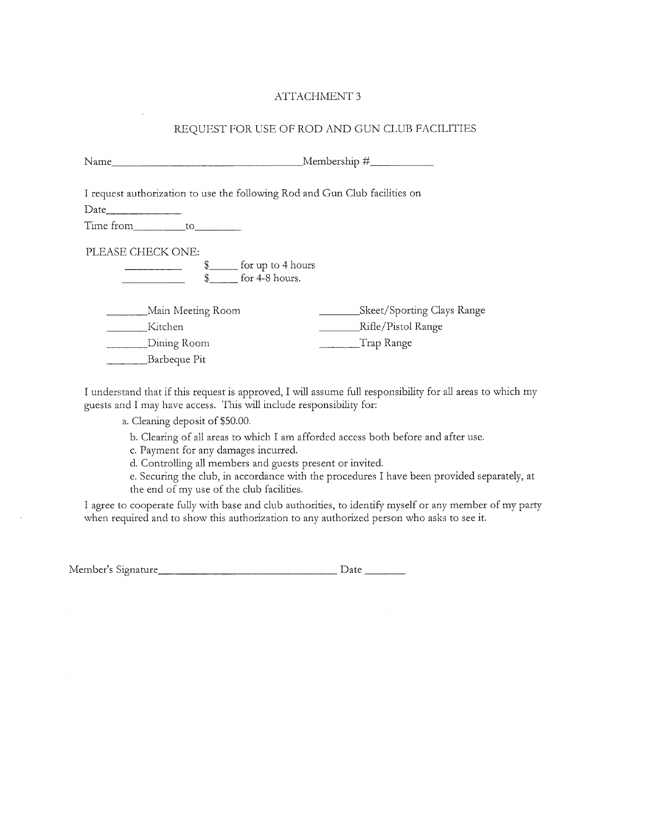## REQUEST FOR USE OF ROD AND GUN CLUB FACILITIES

| Name                                                                                           |                                                                |  |
|------------------------------------------------------------------------------------------------|----------------------------------------------------------------|--|
| I request authorization to use the following Rod and Gun Club facilities on<br>Time from to to |                                                                |  |
| PLEASE CHECK ONE:<br>$\_$ for up to 4 hours<br>\$_<br>for 4-8 hours.<br>\$                     |                                                                |  |
| Main Meeting Room<br>Kitchen<br>Dining Room<br>Barbeque Pit                                    | Skeet/Sporting Clays Range<br>Rifle/Pistol Range<br>Trap Range |  |

I understand that if this request is approved, I will assume full responsibility for all areas to which my guests and I may have access. This will include responsibility for:

a. Cleaning deposit of \$50.00.

b. Clearing of all areas to which I am afforded access both before and after use.

c. Payment for any damages incurred.

d. Controlling all members and guests present or invited.

e. Securing the club, in accordance with the procedures I have been provided separately, at the end of my use of the club facilities.

I agree to cooperate fully with base and club authorities, to identify myself or any member of my party when required and to show this authorization to any authorized person who asks to see it.

| Member's Signature_ | Date |
|---------------------|------|
|                     |      |